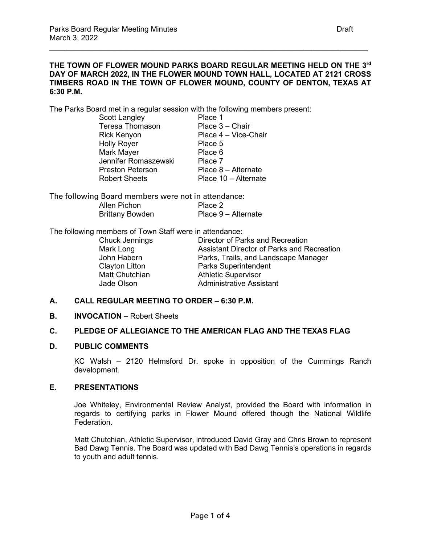### **THE TOWN OF FLOWER MOUND PARKS BOARD REGULAR MEETING HELD ON THE 3rd DAY OF MARCH 2022, IN THE FLOWER MOUND TOWN HALL, LOCATED AT 2121 CROSS TIMBERS ROAD IN THE TOWN OF FLOWER MOUND, COUNTY OF DENTON, TEXAS AT 6:30 P.M.**

The Parks Board met in a regular session with the following members present:

| Scott Langley           | Place 1              |
|-------------------------|----------------------|
| <b>Teresa Thomason</b>  | Place 3 - Chair      |
| Rick Kenyon             | Place 4 - Vice-Chair |
| <b>Holly Royer</b>      | Place 5              |
| Mark Mayer              | Place 6              |
| Jennifer Romaszewski    | Place 7              |
| <b>Preston Peterson</b> | Place 8 - Alternate  |
| <b>Robert Sheets</b>    | Place 10 - Alternate |

The following Board members were not in attendance: Allen Pichon Pace 2<br>Brittany Bowden Place 9 – Alternate Brittany Bowden

The following members of Town Staff were in attendance:

| Chuck Jennings<br>Mark Long<br>John Habern<br><b>Clayton Litton</b> | Director of Parks and Recreation<br>Assistant Director of Parks and Recreation<br>Parks, Trails, and Landscape Manager<br><b>Parks Superintendent</b> |
|---------------------------------------------------------------------|-------------------------------------------------------------------------------------------------------------------------------------------------------|
| Matt Chutchian<br>Jade Olson                                        | <b>Athletic Supervisor</b><br><b>Administrative Assistant</b>                                                                                         |

#### **A. CALL REGULAR MEETING TO ORDER – 6:30 P.M.**

**B. INVOCATION –** Robert Sheets

#### **C. PLEDGE OF ALLEGIANCE TO THE AMERICAN FLAG AND THE TEXAS FLAG**

#### **D. PUBLIC COMMENTS**

KC Walsh – 2120 Helmsford Dr. spoke in opposition of the Cummings Ranch development.

### **E. PRESENTATIONS**

Joe Whiteley, Environmental Review Analyst, provided the Board with information in regards to certifying parks in Flower Mound offered though the National Wildlife Federation.

Matt Chutchian, Athletic Supervisor, introduced David Gray and Chris Brown to represent Bad Dawg Tennis. The Board was updated with Bad Dawg Tennis's operations in regards to youth and adult tennis.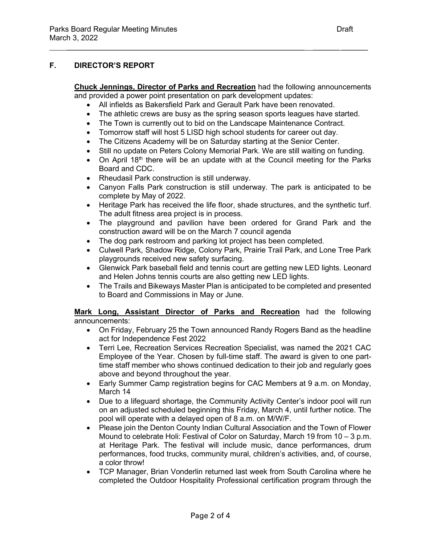# **F. DIRECTOR'S REPORT**

**Chuck Jennings, Director of Parks and Recreation** had the following announcements and provided a power point presentation on park development updates:

• All infields as Bakersfield Park and Gerault Park have been renovated.

 $\frac{1}{2}$  ,  $\frac{1}{2}$  ,  $\frac{1}{2}$  ,  $\frac{1}{2}$  ,  $\frac{1}{2}$  ,  $\frac{1}{2}$  ,  $\frac{1}{2}$  ,  $\frac{1}{2}$  ,  $\frac{1}{2}$  ,  $\frac{1}{2}$  ,  $\frac{1}{2}$  ,  $\frac{1}{2}$  ,  $\frac{1}{2}$  ,  $\frac{1}{2}$  ,  $\frac{1}{2}$  ,  $\frac{1}{2}$  ,  $\frac{1}{2}$  ,  $\frac{1}{2}$  ,  $\frac{1$ 

- The athletic crews are busy as the spring season sports leagues have started.
- The Town is currently out to bid on the Landscape Maintenance Contract.
- Tomorrow staff will host 5 LISD high school students for career out day.
- The Citizens Academy will be on Saturday starting at the Senior Center.
- Still no update on Peters Colony Memorial Park. We are still waiting on funding.
- On April 18<sup>th</sup> there will be an update with at the Council meeting for the Parks Board and CDC.
- Rheudasil Park construction is still underway.
- Canyon Falls Park construction is still underway. The park is anticipated to be complete by May of 2022.
- Heritage Park has received the life floor, shade structures, and the synthetic turf. The adult fitness area project is in process.
- The playground and pavilion have been ordered for Grand Park and the construction award will be on the March 7 council agenda
- The dog park restroom and parking lot project has been completed.
- Culwell Park, Shadow Ridge, Colony Park, Prairie Trail Park, and Lone Tree Park playgrounds received new safety surfacing.
- Glenwick Park baseball field and tennis court are getting new LED lights. Leonard and Helen Johns tennis courts are also getting new LED lights.
- The Trails and Bikeways Master Plan is anticipated to be completed and presented to Board and Commissions in May or June.

**Mark Long, Assistant Director of Parks and Recreation** had the following announcements:

- On Friday, February 25 the Town announced Randy Rogers Band as the headline act for Independence Fest 2022
- Terri Lee, Recreation Services Recreation Specialist, was named the 2021 CAC Employee of the Year. Chosen by full-time staff. The award is given to one parttime staff member who shows continued dedication to their job and regularly goes above and beyond throughout the year.
- Early Summer Camp registration begins for CAC Members at 9 a.m. on Monday, March 14
- Due to a lifeguard shortage, the Community Activity Center's indoor pool will run on an adjusted scheduled beginning this Friday, March 4, until further notice. The pool will operate with a delayed open of 8 a.m. on M/W/F.
- Please join the Denton County Indian Cultural Association and the Town of Flower Mound to celebrate Holi: Festival of Color on Saturday, March 19 from 10 – 3 p.m. at Heritage Park. The festival will include music, dance performances, drum performances, food trucks, community mural, children's activities, and, of course, a color throw!
- TCP Manager, Brian Vonderlin returned last week from South Carolina where he completed the Outdoor Hospitality Professional certification program through the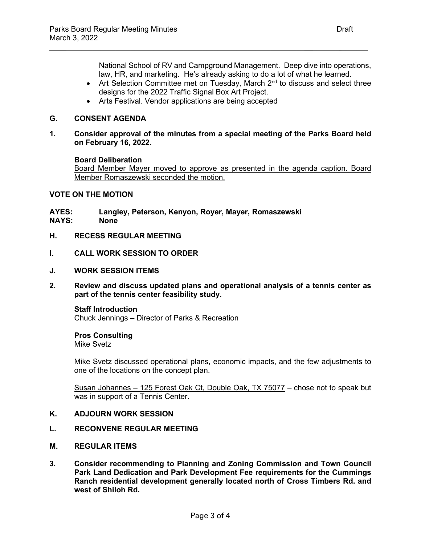National School of RV and Campground Management. Deep dive into operations, law, HR, and marketing. He's already asking to do a lot of what he learned.

- Art Selection Committee met on Tuesday, March 2<sup>nd</sup> to discuss and select three designs for the 2022 Traffic Signal Box Art Project.
- Arts Festival. Vendor applications are being accepted

## **G. CONSENT AGENDA**

**1. Consider approval of the minutes from a special meeting of the Parks Board held on February 16, 2022.**

 $\frac{1}{2}$  ,  $\frac{1}{2}$  ,  $\frac{1}{2}$  ,  $\frac{1}{2}$  ,  $\frac{1}{2}$  ,  $\frac{1}{2}$  ,  $\frac{1}{2}$  ,  $\frac{1}{2}$  ,  $\frac{1}{2}$  ,  $\frac{1}{2}$  ,  $\frac{1}{2}$  ,  $\frac{1}{2}$  ,  $\frac{1}{2}$  ,  $\frac{1}{2}$  ,  $\frac{1}{2}$  ,  $\frac{1}{2}$  ,  $\frac{1}{2}$  ,  $\frac{1}{2}$  ,  $\frac{1$ 

#### **Board Deliberation**

Board Member Mayer moved to approve as presented in the agenda caption. Board Member Romaszewski seconded the motion.

## **VOTE ON THE MOTION**

**AYES: Langley, Peterson, Kenyon, Royer, Mayer, Romaszewski**

- **NAYS: None**
- **H. RECESS REGULAR MEETING**
- **I. CALL WORK SESSION TO ORDER**
- **J. WORK SESSION ITEMS**
- **2. Review and discuss updated plans and operational analysis of a tennis center as part of the tennis center feasibility study.**

**Staff Introduction** Chuck Jennings – Director of Parks & Recreation

# **Pros Consulting**

Mike Svetz

Mike Svetz discussed operational plans, economic impacts, and the few adjustments to one of the locations on the concept plan.

Susan Johannes – 125 Forest Oak Ct, Double Oak, TX 75077 – chose not to speak but was in support of a Tennis Center.

# **K. ADJOURN WORK SESSION**

### **L. RECONVENE REGULAR MEETING**

- **M. REGULAR ITEMS**
- **3. Consider recommending to Planning and Zoning Commission and Town Council Park Land Dedication and Park Development Fee requirements for the Cummings Ranch residential development generally located north of Cross Timbers Rd. and west of Shiloh Rd.**